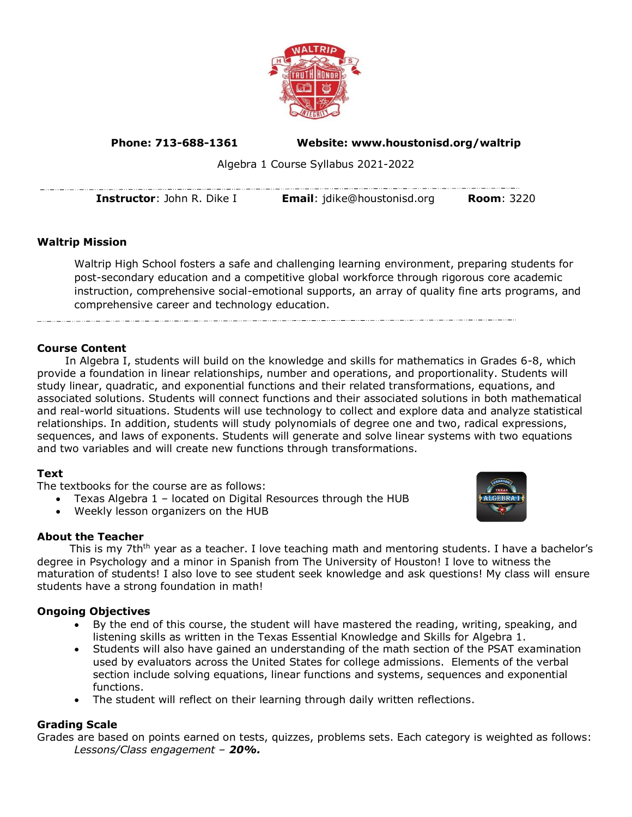

**Phone: 713-688-1361 Website: www.houstonisd.org/waltrip**

Algebra 1 Course Syllabus 2021-2022

**Instructor**: John R. Dike I **Email**: jdike@houstonisd.org **Room**: 3220

# **Waltrip Mission**

Waltrip High School fosters a safe and challenging learning environment, preparing students for post-secondary education and a competitive global workforce through rigorous core academic instruction, comprehensive social-emotional supports, an array of quality fine arts programs, and comprehensive career and technology education.

### **Course Content**

In Algebra I, students will build on the knowledge and skills for mathematics in Grades 6-8, which provide a foundation in linear relationships, number and operations, and proportionality. Students will study linear, quadratic, and exponential functions and their related transformations, equations, and associated solutions. Students will connect functions and their associated solutions in both mathematical and real-world situations. Students will use technology to collect and explore data and analyze statistical relationships. In addition, students will study polynomials of degree one and two, radical expressions, sequences, and laws of exponents. Students will generate and solve linear systems with two equations and two variables and will create new functions through transformations.

## **Text**

The textbooks for the course are as follows:

- Texas Algebra 1 located on Digital Resources through the HUB
- Weekly lesson organizers on the HUB

## **About the Teacher**

This is my 7th<sup>th</sup> year as a teacher. I love teaching math and mentoring students. I have a bachelor's degree in Psychology and a minor in Spanish from The University of Houston! I love to witness the maturation of students! I also love to see student seek knowledge and ask questions! My class will ensure students have a strong foundation in math!

## **Ongoing Objectives**

- By the end of this course, the student will have mastered the reading, writing, speaking, and listening skills as written in the Texas Essential Knowledge and Skills for Algebra 1.
- Students will also have gained an understanding of the math section of the PSAT examination used by evaluators across the United States for college admissions. Elements of the verbal section include solving equations, linear functions and systems, sequences and exponential functions.
- The student will reflect on their learning through daily written reflections.

#### **Grading Scale**

Grades are based on points earned on tests, quizzes, problems sets. Each category is weighted as follows: *Lessons/Class engagement – 20%.*